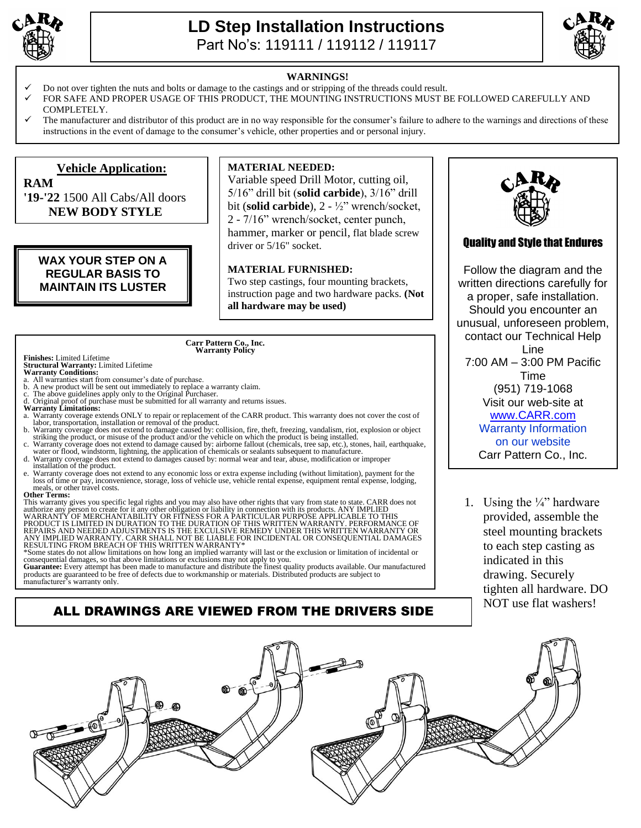

## **LD Step Installation Instructions**  Part No's: 119111 / 119112 / 119117



## **WARNINGS!**

- Do not over tighten the nuts and bolts or damage to the castings and or stripping of the threads could result.
- FOR SAFE AND PROPER USAGE OF THIS PRODUCT, THE MOUNTING INSTRUCTIONS MUST BE FOLLOWED CAREFULLY AND COMPLETELY.
- The manufacturer and distributor of this product are in no way responsible for the consumer's failure to adhere to the warnings and directions of these instructions in the event of damage to the consumer's vehicle, other properties and or personal injury.

### **Vehicle Application: RAM '19-'22** 1500 All Cabs/All doors **NEW BODY STYLE MATERIAL NEEDED:**  Variable speed Drill Motor, cutting oil, 5/16" drill bit (**solid carbide**), 3/16" drill bit (**solid carbide**), 2 - ½" wrench/socket, 2 - 7/16" wrench/socket, center punch, hammer, marker or pencil, flat blade screw driver or 5/16" socket. **MATERIAL FURNISHED:** Two step castings, four mounting brackets, instruction page and two hardware packs. **(Not all hardware may be used) WAX YOUR STEP ON A REGULAR BASIS TO MAINTAIN ITS LUSTER Carr Pattern Co., Inc. Warranty Policy**

# **Finishes:** Limited Lifetime **Structural Warranty:** Limited Lifetime **Warranty Conditions:**

- All warranties start from consumer's date of purchase.<br>b. A new product will be sent out immediately to replace
- b. A new product will be sent out immediately to replace a warranty claim. c. The above guidelines apply only to the Original Purchaser.
- Original proof of purchase must be submitted for all warranty and returns issues.
- **Warranty Limitations:**
- a. Warranty coverage extends ONLY to repair or replacement of the CARR product. This warranty does not cover the cost of labor, transportation, installation or removal of the product.
- b. Warranty coverage does not extend to damage caused by: collision, fire, theft, freezing, vandalism, riot, explosion or object<br>striking the product, or misuse of the product and/or the vehicle on which the product is bei
- water or flood, windstorm, lightning, the application of chemicals or sealants subsequent to manufacture. d. Warranty coverage does not extend to damages caused by: normal wear and tear, abuse, modification or improper
- installation of the product. e. Warranty coverage does not extend to any economic loss or extra expense including (without limitation), payment for the loss of time or pay, inconvenience, storage, loss of vehicle use, vehicle rental expense, equipment

### meals, or other travel costs. **Other Terms:**

This warranty gives you specific legal rights and you may also have other rights that vary from state to state. CARR does not authorize any person to create for it any other obligation or liability in connection with its products. ANY IMPLIED<br>WARRANTY OF MERCHANTABILITY OR FITNESS FOR A PARTICULAR PURPOSE APPLICABLE TO THIS<br>PRODUCT IS LIMITED IN

\*Some states do not allow limitations on how long an implied warranty will last or the exclusion or limitation of incidental or<br>consequential damages, so that above limitations or exclusions may not apply to you.<br>Guarantee

products are guaranteed to be free of defects due to workmanship or materials. Distributed products are subject to manufacturer's warranty only.

ALL DRAWINGS ARE VIEWED FROM THE DRIVERS SIDE

## Quality and Style that Endures

Follow the diagram and the written directions carefully for a proper, safe installation. Should you encounter an unusual, unforeseen problem, contact our Technical Help Line 7:00 AM – 3:00 PM Pacific Time (951) 719-1068 Visit our web-site at [www.CARR.com](http://www.carr.com/) Warranty Information on our website Carr Pattern Co., Inc.

1. Using the  $\frac{1}{4}$  hardware provided, assemble the steel mounting brackets to each step casting as indicated in this drawing. Securely tighten all hardware. DO NOT use flat washers!